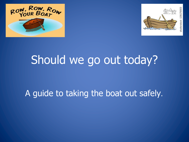



# Should we go out today?

#### A guide to taking the boat out safely.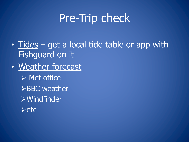## Pre-Trip check

- Tides get a local tide table or app with Fishguard on it
- Weather forecast
	- $\triangleright$  Met office  $\triangleright$ BBC weather ØWindfinder  $\blacktriangleright$ etc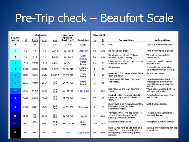## Pre-Trip check – Beaufort Scale

| <b>Beaufort</b><br><b>number</b> | Wind speed |                |        |                  | Mean wind                |                    | Waveheidht               |                |                                                                                                                                |                                                                                                      |
|----------------------------------|------------|----------------|--------|------------------|--------------------------|--------------------|--------------------------|----------------|--------------------------------------------------------------------------------------------------------------------------------|------------------------------------------------------------------------------------------------------|
|                                  | kt         | km/h           | mph    | m/s              | speed (kt /<br>km/h/mph) | <b>Description</b> | m                        | ft             | Sea conditions                                                                                                                 | <b>Land conditions</b>                                                                               |
| $\bf{0}$                         | Ũ          | $\bf{0}$       | 0      | $0 - 0.2$        | 0/0/0                    | Calm               | 0                        | 0              | Flat.                                                                                                                          | Calm. Smoke rises vertically.                                                                        |
| $\mathbf{1}$                     | $1-3$      | $1-6$          | $1-3$  | $0.3 - 1.5$      | 02/04/2                  | Light air          | 0.1                      | 0.33           | Ripples without crests.                                                                                                        | Wind motion visible in smoke.                                                                        |
| $\overline{c}$                   | 46         | 7-11           | 47     | 1.6-3.3          | 05/09/6                  | Light<br>bree ze   | 0.2                      | 0.66           | Small wavelets. Crests of glassy<br>appearance, not breaking                                                                   | Wind felt on exposed skin.<br>Leaves rustie                                                          |
| 3                                | $7-10$     | 12-19          | $8-12$ | $3.4 - 5.4$      | 9/17/11                  | Gentle<br>breeze   | 0.6                      | $\overline{2}$ | Large wavelets. Crests begin to break;<br>scattered whitecaps                                                                  | Leaves and smaller twices in<br>constant motion.                                                     |
| 4                                | 11-16      | 20-29          | 13-18  | 5.5-7.9          | 13/24/15                 | Moderate<br>breeze | 1                        | 3.3            | Small waves.                                                                                                                   | Dust and loose paper raised.<br>Small branches begin to move.                                        |
| 5                                | 17-21      | 30-39          | 19-24  | 8.0-10.7         | 19/35/22                 | Fresh<br>breeze    | $\overline{2}$           | 6.6            | Moderate (1.2 m) longer waves. Some<br>foarn and spray.                                                                        | Smaller trees sway.                                                                                  |
| 6                                | 22-27      | 40-50          | 25-31  | $10.8 -$<br>13.8 | 24 / 44 / 27             | Strong<br>breeze   | 3                        | 9.9            | Large waves with foam crests and<br>some spray.                                                                                | Large branches in motion.<br>Whistling heard in overhead<br>whes. Umbrella use becomes<br>difficult. |
| 7                                | 28-33      | $51-62$        | 32-38  | $13.9 -$<br>17.1 | 30/56/35                 | Near gale          | 4                        | 13.1           | Sea heaps up and foam begins to<br>streak.                                                                                     | Whole trees in motion. Effort to<br>walk against the wind.                                           |
| $\mathbf{a}$                     | 34.40      | 63-75          | 39-46  | $17.2 -$<br>20.7 | 37 / 68 / 42             | Gale               | 5.5                      | 18             | Moderately high waves with breaking<br>crests forming spindrift. Streaks of<br>foarn.                                          | Twices broken from trees. Cars<br>veer on road.                                                      |
| 9                                | $41 - 47$  | 76-87          | 47-54  | $20.8-$<br>24.4  | 44 / 81 / 50             | Strong gale        | $\overline{\phantom{a}}$ | 23             | High waves (2.75 m) with dense foam.<br>Wave crests start to roll over.<br>Considerable spray.                                 | Licht structure damage.                                                                              |
| 10                               | 48-55      | 88-<br>100     | 55-63  | $24.5-$<br>28.4  | 52/96/60                 | <b>Storm</b>       | $\overline{9}$           | 29.5           | Very high waves. The sea surface is<br>white and there is considerable<br>turnbling. Msibility is reduced.                     | Trees uprooted. Considerable<br>structural damage.                                                   |
| 11                               | 56-63      | $103 -$<br>117 | 64-72  | $28.5-$<br>32.6  | 60/111/69                | Violent<br>storm   | 11.5                     | 37.7           | Exceptionally high waves.                                                                                                      | Widespread structural damage.                                                                        |
| 12                               | >63        | >117           | >72    | >32.7            | N/A                      | Hurricane          | $14+$                    | $46+$          | Huge waves. Air filled with foam and<br>spray. Sea completely white with<br>driving spray. Visibility very greatly<br>reduced. | Massive and widespread damage<br>to structures.                                                      |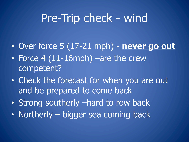## Pre-Trip check - wind

- Over force 5 (17-21 mph) **never go out**
- Force 4 (11-16mph) –are the crew competent?
- Check the forecast for when you are out and be prepared to come back
- Strong southerly –hard to row back
- Northerly bigger sea coming back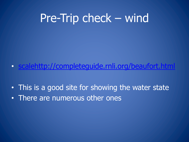# Pre-Trip check – wind

- scalehttp://completequide.rnli.org/beaufort.
- This is a good site for showing the water state
- There are numerous other ones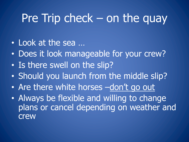#### Pre Trip check – on the quay

- Look at the sea …
- Does it look manageable for your crew?
- Is there swell on the slip?
- Should you launch from the middle slip?
- Are there white horses -don't go out
- Always be flexible and willing to change plans or cancel depending on weather and crew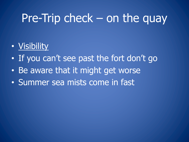### Pre-Trip check – on the quay

#### • Visibility

- If you can't see past the fort don't go
- Be aware that it might get worse
- Summer sea mists come in fast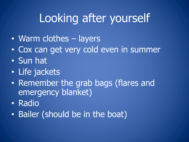# Looking after yourself

- Warm clothes layers
- Cox can get very cold even in summer
- Sun hat
- Life jackets
- Remember the grab bags (flares and emergency blanket)
- Radio
- Bailer (should be in the boat)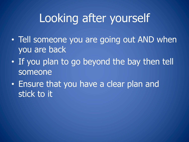# Looking after yourself

- Tell someone you are going out AND when you are back
- If you plan to go beyond the bay then tell someone
- Ensure that you have a clear plan and stick to it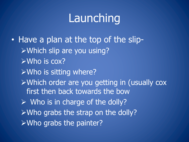# Launching

• Have a plan at the top of the slip-ØWhich slip are you using?  $\triangleright$ Who is cox?  $\triangleright$  Who is sitting where? ØWhich order are you getting in (usually cox first then back towards the bow  $\triangleright$  Who is in charge of the dolly?  $\triangleright$  Who grabs the strap on the dolly?  $\triangleright$  Who grabs the painter?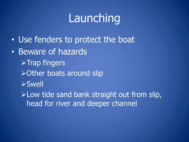# Launching

- Use fenders to protect the boat
- Beware of hazards  $\sqrt{\triangleright}$ Trap fingers  $\triangleright$  Other boats around slip ØSwell  $\blacktriangleright$  Low tide sand bank straight out from slip,
	- head for river and deeper channel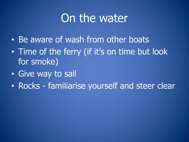## On the water

- Be aware of wash from other boats
- Time of the ferry (if it's on time but look for smoke)
- Give way to sail
- Rocks familiarise yourself and steer clear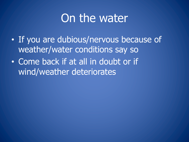### On the water

- If you are dubious/nervous because of weather/water conditions say so
- Come back if at all in doubt or if wind/weather deteriorates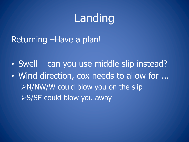## Landing

Returning –Have a plan!

• Swell – can you use middle slip instead?

• Wind direction, cox needs to allow for ...  $\textdegree$ N/NW/W could blow you on the slip  $\triangleright$  S/SE could blow you away